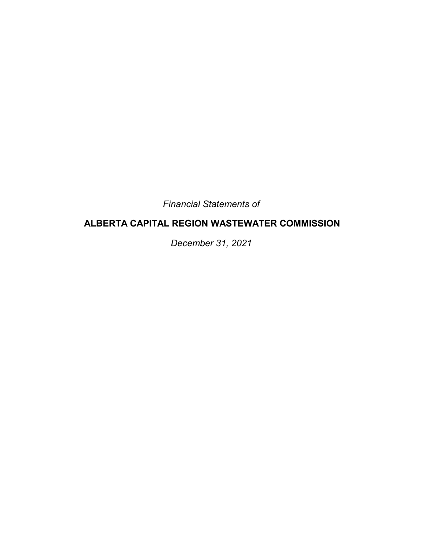*Financial Statements of*

# **ALBERTA CAPITAL REGION WASTEWATER COMMISSION**

*December 31, 2021*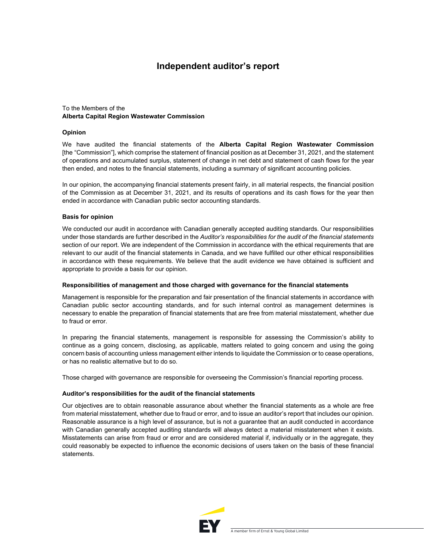# **Independent auditor's report**

#### To the Members of the **Alberta Capital Region Wastewater Commission**

#### **Opinion**

We have audited the financial statements of the **Alberta Capital Region Wastewater Commission** [the "Commission"], which comprise the statement of financial position as at December 31, 2021, and the statement of operations and accumulated surplus, statement of change in net debt and statement of cash flows for the year then ended, and notes to the financial statements, including a summary of significant accounting policies.

In our opinion, the accompanying financial statements present fairly, in all material respects, the financial position of the Commission as at December 31, 2021, and its results of operations and its cash flows for the year then ended in accordance with Canadian public sector accounting standards.

#### **Basis for opinion**

We conducted our audit in accordance with Canadian generally accepted auditing standards. Our responsibilities under those standards are further described in the *Auditor's responsibilities for the audit of the financial statements*  section of our report. We are independent of the Commission in accordance with the ethical requirements that are relevant to our audit of the financial statements in Canada, and we have fulfilled our other ethical responsibilities in accordance with these requirements. We believe that the audit evidence we have obtained is sufficient and appropriate to provide a basis for our opinion.

#### **Responsibilities of management and those charged with governance for the financial statements**

Management is responsible for the preparation and fair presentation of the financial statements in accordance with Canadian public sector accounting standards, and for such internal control as management determines is necessary to enable the preparation of financial statements that are free from material misstatement, whether due to fraud or error.

In preparing the financial statements, management is responsible for assessing the Commission's ability to continue as a going concern, disclosing, as applicable, matters related to going concern and using the going concern basis of accounting unless management either intends to liquidate the Commission or to cease operations, or has no realistic alternative but to do so.

Those charged with governance are responsible for overseeing the Commission's financial reporting process.

#### **Auditor's responsibilities for the audit of the financial statements**

Our objectives are to obtain reasonable assurance about whether the financial statements as a whole are free from material misstatement, whether due to fraud or error, and to issue an auditor's report that includes our opinion. Reasonable assurance is a high level of assurance, but is not a guarantee that an audit conducted in accordance with Canadian generally accepted auditing standards will always detect a material misstatement when it exists. Misstatements can arise from fraud or error and are considered material if, individually or in the aggregate, they could reasonably be expected to influence the economic decisions of users taken on the basis of these financial statements.

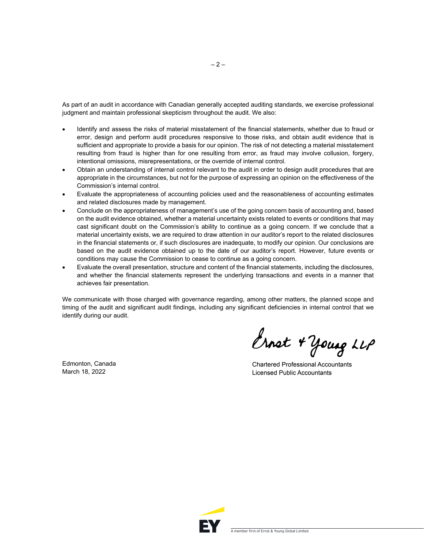As part of an audit in accordance with Canadian generally accepted auditing standards, we exercise professional judgment and maintain professional skepticism throughout the audit. We also:

- Identify and assess the risks of material misstatement of the financial statements, whether due to fraud or error, design and perform audit procedures responsive to those risks, and obtain audit evidence that is sufficient and appropriate to provide a basis for our opinion. The risk of not detecting a material misstatement resulting from fraud is higher than for one resulting from error, as fraud may involve collusion, forgery, intentional omissions, misrepresentations, or the override of internal control.
- Obtain an understanding of internal control relevant to the audit in order to design audit procedures that are appropriate in the circumstances, but not for the purpose of expressing an opinion on the effectiveness of the Commission's internal control.
- Evaluate the appropriateness of accounting policies used and the reasonableness of accounting estimates and related disclosures made by management.
- Conclude on the appropriateness of management's use of the going concern basis of accounting and, based on the audit evidence obtained, whether a material uncertainty exists related to events or conditions that may cast significant doubt on the Commission's ability to continue as a going concern. If we conclude that a material uncertainty exists, we are required to draw attention in our auditor's report to the related disclosures in the financial statements or, if such disclosures are inadequate, to modify our opinion. Our conclusions are based on the audit evidence obtained up to the date of our auditor's report. However, future events or conditions may cause the Commission to cease to continue as a going concern.
- Evaluate the overall presentation, structure and content of the financial statements, including the disclosures, and whether the financial statements represent the underlying transactions and events in a manner that achieves fair presentation.

We communicate with those charged with governance regarding, among other matters, the planned scope and timing of the audit and significant audit findings, including any significant deficiencies in internal control that we identify during our audit.

Edmonton, Canada March 18, 2022

Ernet + Young LLP

**Chartered Professional Accountants Licensed Public Accountants** 

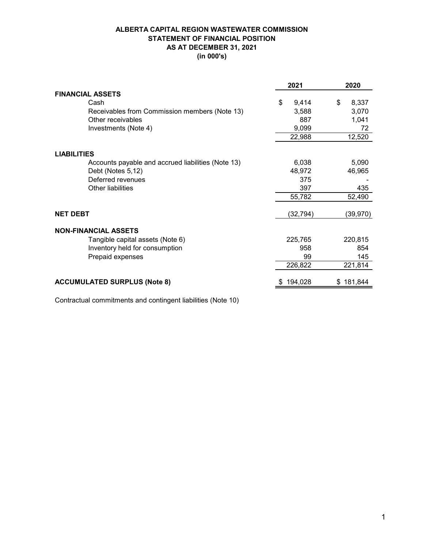# **ALBERTA CAPITAL REGION WASTEWATER COMMISSION STATEMENT OF FINANCIAL POSITION AS AT DECEMBER 31, 2021 (in 000's)**

|                                                    | 2021          | 2020        |
|----------------------------------------------------|---------------|-------------|
| <b>FINANCIAL ASSETS</b>                            |               |             |
| Cash                                               | 9,414<br>\$   | \$<br>8,337 |
| Receivables from Commission members (Note 13)      | 3,588         | 3,070       |
| Other receivables                                  | 887           | 1,041       |
| Investments (Note 4)                               | 9,099         | 72          |
|                                                    | 22,988        | 12,520      |
| <b>LIABILITIES</b>                                 |               |             |
| Accounts payable and accrued liabilities (Note 13) | 6,038         | 5,090       |
| Debt (Notes 5,12)                                  | 48,972        | 46,965      |
| Deferred revenues                                  | 375           |             |
| <b>Other liabilities</b>                           | 397           | 435         |
|                                                    | 55,782        | 52,490      |
| <b>NET DEBT</b>                                    | (32, 794)     | (39,970)    |
| <b>NON-FINANCIAL ASSETS</b>                        |               |             |
| Tangible capital assets (Note 6)                   | 225,765       | 220,815     |
| Inventory held for consumption                     | 958           | 854         |
| Prepaid expenses                                   | 99            | 145         |
|                                                    | 226,822       | 221,814     |
| <b>ACCUMULATED SURPLUS (Note 8)</b>                | 194,028<br>\$ | \$181,844   |

Contractual commitments and contingent liabilities (Note 10)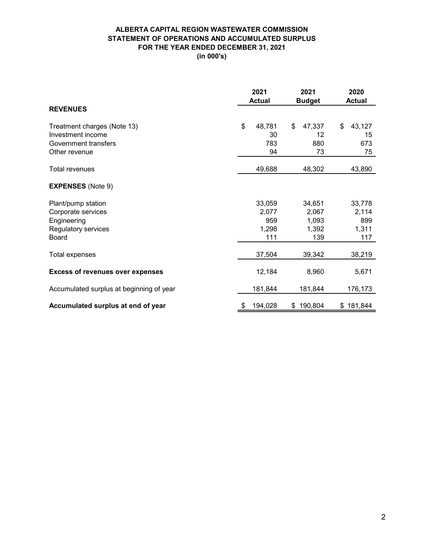# **ALBERTA CAPITAL REGION WASTEWATER COMMISSION STATEMENT OF OPERATIONS AND ACCUMULATED SURPLUS FOR THE YEAR ENDED DECEMBER 31, 2021 (in 000's)**

|                                                                                                | 2021<br><b>Actual</b> |                                        | 2021<br><b>Budget</b> |                                          | 2020<br><b>Actual</b> |                                        |
|------------------------------------------------------------------------------------------------|-----------------------|----------------------------------------|-----------------------|------------------------------------------|-----------------------|----------------------------------------|
| <b>REVENUES</b>                                                                                |                       |                                        |                       |                                          |                       |                                        |
| Treatment charges (Note 13)<br>Investment income<br>Government transfers<br>Other revenue      | \$                    | 48,781<br>30<br>783<br>94              | \$                    | 47,337<br>12<br>880<br>73                | \$                    | 43,127<br>15<br>673<br>75              |
| Total revenues                                                                                 |                       | 49,688                                 |                       | 48,302                                   |                       | 43,890                                 |
| <b>EXPENSES</b> (Note 9)                                                                       |                       |                                        |                       |                                          |                       |                                        |
| Plant/pump station<br>Corporate services<br>Engineering<br>Regulatory services<br><b>Board</b> |                       | 33,059<br>2,077<br>959<br>1,298<br>111 |                       | 34,651<br>2,067<br>1,093<br>1,392<br>139 |                       | 33,778<br>2,114<br>899<br>1,311<br>117 |
| Total expenses                                                                                 |                       | 37,504                                 |                       | 39,342                                   |                       | 38,219                                 |
| <b>Excess of revenues over expenses</b>                                                        |                       | 12,184                                 |                       | 8,960                                    |                       | 5,671                                  |
| Accumulated surplus at beginning of year                                                       |                       | 181,844                                |                       | 181,844                                  |                       | 176,173                                |
| Accumulated surplus at end of year                                                             | \$                    | 194,028                                |                       | \$190,804                                |                       | \$181,844                              |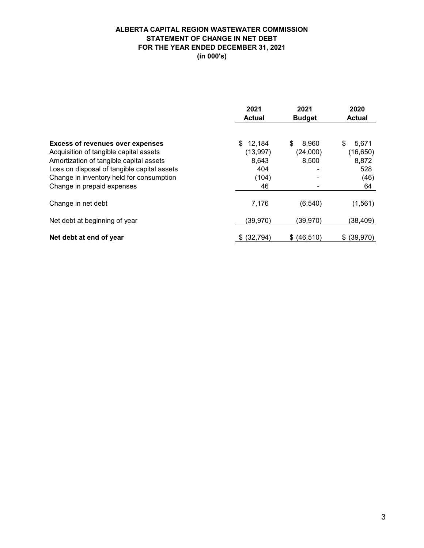# **ALBERTA CAPITAL REGION WASTEWATER COMMISSION STATEMENT OF CHANGE IN NET DEBT FOR THE YEAR ENDED DECEMBER 31, 2021 (in 000's)**

|                                                                                                                                                                                                                                                       | 2021<br><b>Actual</b>                                    | 2021<br><b>Budget</b>            |                                                        |
|-------------------------------------------------------------------------------------------------------------------------------------------------------------------------------------------------------------------------------------------------------|----------------------------------------------------------|----------------------------------|--------------------------------------------------------|
| <b>Excess of revenues over expenses</b><br>Acquisition of tangible capital assets<br>Amortization of tangible capital assets<br>Loss on disposal of tangible capital assets<br>Change in inventory held for consumption<br>Change in prepaid expenses | \$<br>12,184<br>(13, 997)<br>8,643<br>404<br>(104)<br>46 | \$<br>8,960<br>(24,000)<br>8,500 | \$<br>5.671<br>(16, 650)<br>8,872<br>528<br>(46)<br>64 |
| Change in net debt<br>Net debt at beginning of year                                                                                                                                                                                                   | 7,176<br>(39, 970)                                       | (6, 540)<br>(39, 970)            | (1, 561)<br>(38, 409)                                  |
| Net debt at end of year                                                                                                                                                                                                                               | (32, 794)                                                | (46, 510)<br>\$.                 | (39, 970)<br>\$                                        |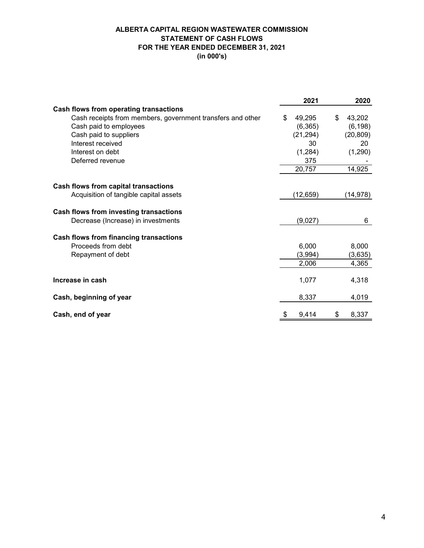# **ALBERTA CAPITAL REGION WASTEWATER COMMISSION STATEMENT OF CASH FLOWS FOR THE YEAR ENDED DECEMBER 31, 2021 (in 000's)**

|                                                            | 2021         | 2020         |
|------------------------------------------------------------|--------------|--------------|
| <b>Cash flows from operating transactions</b>              |              |              |
| Cash receipts from members, government transfers and other | \$<br>49,295 | \$<br>43,202 |
| Cash paid to employees                                     | (6, 365)     | (6, 198)     |
| Cash paid to suppliers                                     | (21, 294)    | (20, 809)    |
| Interest received                                          | 30           | 20           |
| Interest on debt                                           | (1, 284)     | (1,290)      |
| Deferred revenue                                           | 375          |              |
|                                                            | 20,757       | 14,925       |
| Cash flows from capital transactions                       |              |              |
| Acquisition of tangible capital assets                     | (12, 659)    | (14,978)     |
| <b>Cash flows from investing transactions</b>              |              |              |
| Decrease (Increase) in investments                         | (9,027)      | 6            |
| <b>Cash flows from financing transactions</b>              |              |              |
| Proceeds from debt                                         | 6,000        | 8,000        |
| Repayment of debt                                          | (3,994)      | (3,635)      |
|                                                            | 2,006        | 4,365        |
| Increase in cash                                           | 1,077        | 4,318        |
| Cash, beginning of year                                    | 8,337        | 4,019        |
| Cash, end of year                                          | \$<br>9,414  | \$<br>8,337  |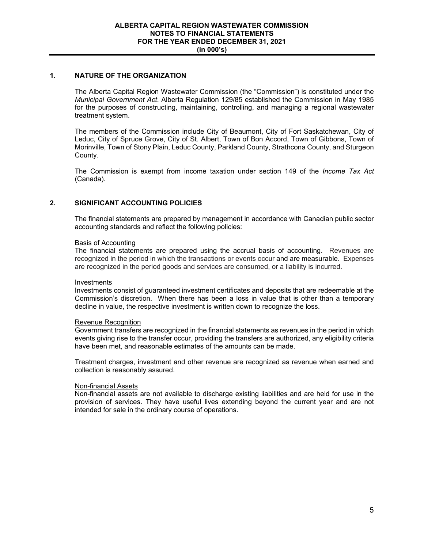#### **1. NATURE OF THE ORGANIZATION**

The Alberta Capital Region Wastewater Commission (the "Commission") is constituted under the *Municipal Government Act*. Alberta Regulation 129/85 established the Commission in May 1985 for the purposes of constructing, maintaining, controlling, and managing a regional wastewater treatment system.

The members of the Commission include City of Beaumont, City of Fort Saskatchewan, City of Leduc, City of Spruce Grove, City of St. Albert, Town of Bon Accord, Town of Gibbons, Town of Morinville, Town of Stony Plain, Leduc County, Parkland County, Strathcona County, and Sturgeon County.

The Commission is exempt from income taxation under section 149 of the *Income Tax Act* (Canada).

## **2. SIGNIFICANT ACCOUNTING POLICIES**

The financial statements are prepared by management in accordance with Canadian public sector accounting standards and reflect the following policies:

#### Basis of Accounting

The financial statements are prepared using the accrual basis of accounting. Revenues are recognized in the period in which the transactions or events occur and are measurable. Expenses are recognized in the period goods and services are consumed, or a liability is incurred.

#### Investments

Investments consist of guaranteed investment certificates and deposits that are redeemable at the Commission's discretion. When there has been a loss in value that is other than a temporary decline in value, the respective investment is written down to recognize the loss.

#### Revenue Recognition

Government transfers are recognized in the financial statements as revenues in the period in which events giving rise to the transfer occur, providing the transfers are authorized, any eligibility criteria have been met, and reasonable estimates of the amounts can be made.

Treatment charges, investment and other revenue are recognized as revenue when earned and collection is reasonably assured.

#### Non-financial Assets

Non-financial assets are not available to discharge existing liabilities and are held for use in the provision of services. They have useful lives extending beyond the current year and are not intended for sale in the ordinary course of operations.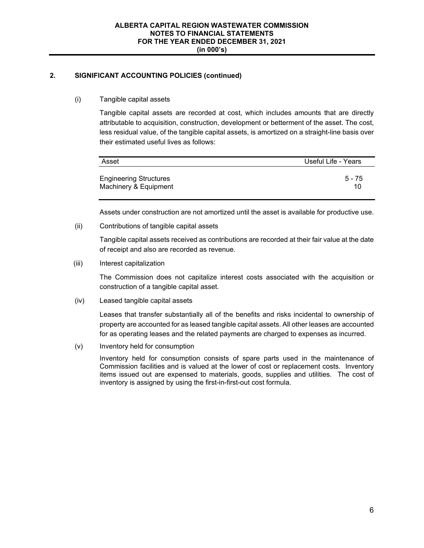## **2. SIGNIFICANT ACCOUNTING POLICIES (continued)**

#### (i) Tangible capital assets

Tangible capital assets are recorded at cost, which includes amounts that are directly attributable to acquisition, construction, development or betterment of the asset. The cost, less residual value, of the tangible capital assets, is amortized on a straight-line basis over their estimated useful lives as follows:

| Asset                         | Useful Life - Years |
|-------------------------------|---------------------|
| <b>Engineering Structures</b> | $5 - 75$            |
| Machinery & Equipment         | 10                  |

Assets under construction are not amortized until the asset is available for productive use.

(ii) Contributions of tangible capital assets

Tangible capital assets received as contributions are recorded at their fair value at the date of receipt and also are recorded as revenue.

#### (iii) Interest capitalization

The Commission does not capitalize interest costs associated with the acquisition or construction of a tangible capital asset.

(iv) Leased tangible capital assets

Leases that transfer substantially all of the benefits and risks incidental to ownership of property are accounted for as leased tangible capital assets. All other leases are accounted for as operating leases and the related payments are charged to expenses as incurred.

(v) Inventory held for consumption

Inventory held for consumption consists of spare parts used in the maintenance of Commission facilities and is valued at the lower of cost or replacement costs. Inventory items issued out are expensed to materials, goods, supplies and utilities. The cost of inventory is assigned by using the first-in-first-out cost formula.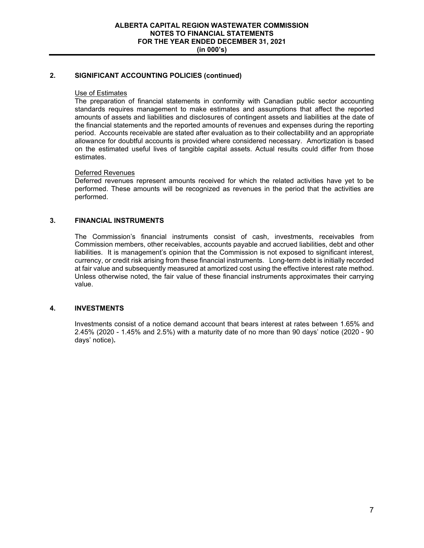## **2. SIGNIFICANT ACCOUNTING POLICIES (continued)**

#### Use of Estimates

The preparation of financial statements in conformity with Canadian public sector accounting standards requires management to make estimates and assumptions that affect the reported amounts of assets and liabilities and disclosures of contingent assets and liabilities at the date of the financial statements and the reported amounts of revenues and expenses during the reporting period. Accounts receivable are stated after evaluation as to their collectability and an appropriate allowance for doubtful accounts is provided where considered necessary. Amortization is based on the estimated useful lives of tangible capital assets. Actual results could differ from those estimates.

#### Deferred Revenues

Deferred revenues represent amounts received for which the related activities have yet to be performed. These amounts will be recognized as revenues in the period that the activities are performed.

## **3. FINANCIAL INSTRUMENTS**

The Commission's financial instruments consist of cash, investments, receivables from Commission members, other receivables, accounts payable and accrued liabilities, debt and other liabilities. It is management's opinion that the Commission is not exposed to significant interest, currency, or credit risk arising from these financial instruments. Long-term debt is initially recorded at fair value and subsequently measured at amortized cost using the effective interest rate method. Unless otherwise noted, the fair value of these financial instruments approximates their carrying value.

## **4. INVESTMENTS**

Investments consist of a notice demand account that bears interest at rates between 1.65% and 2.45% (2020 - 1.45% and 2.5%) with a maturity date of no more than 90 days' notice (2020 - 90 days' notice)**.**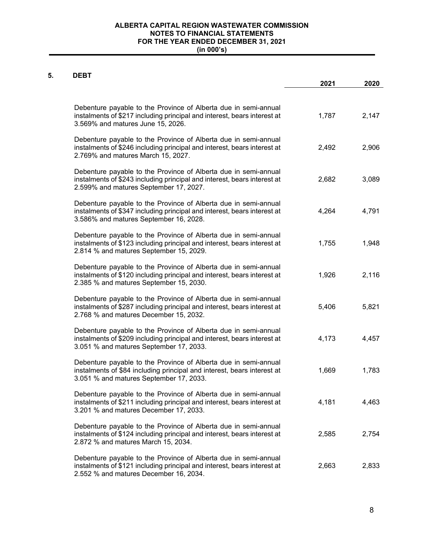#### **ALBERTA CAPITAL REGION WASTEWATER COMMISSION NOTES TO FINANCIAL STATEMENTS FOR THE YEAR ENDED DECEMBER 31, 2021 (in 000's)**

#### **5. DEBT**

|                                                                                                                                                                                        | 2021  | 2020  |
|----------------------------------------------------------------------------------------------------------------------------------------------------------------------------------------|-------|-------|
|                                                                                                                                                                                        |       |       |
| Debenture payable to the Province of Alberta due in semi-annual<br>instalments of \$217 including principal and interest, bears interest at<br>3.569% and matures June 15, 2026.       | 1,787 | 2,147 |
| Debenture payable to the Province of Alberta due in semi-annual<br>instalments of \$246 including principal and interest, bears interest at<br>2.769% and matures March 15, 2027.      | 2,492 | 2,906 |
| Debenture payable to the Province of Alberta due in semi-annual<br>instalments of \$243 including principal and interest, bears interest at<br>2.599% and matures September 17, 2027.  | 2,682 | 3,089 |
| Debenture payable to the Province of Alberta due in semi-annual<br>instalments of \$347 including principal and interest, bears interest at<br>3.586% and matures September 16, 2028.  | 4,264 | 4,791 |
| Debenture payable to the Province of Alberta due in semi-annual<br>instalments of \$123 including principal and interest, bears interest at<br>2.814 % and matures September 15, 2029. | 1,755 | 1,948 |
| Debenture payable to the Province of Alberta due in semi-annual<br>instalments of \$120 including principal and interest, bears interest at<br>2.385 % and matures September 15, 2030. | 1,926 | 2,116 |
| Debenture payable to the Province of Alberta due in semi-annual<br>instalments of \$287 including principal and interest, bears interest at<br>2.768 % and matures December 15, 2032.  | 5,406 | 5,821 |
| Debenture payable to the Province of Alberta due in semi-annual<br>instalments of \$209 including principal and interest, bears interest at<br>3.051 % and matures September 17, 2033. | 4,173 | 4,457 |
| Debenture payable to the Province of Alberta due in semi-annual<br>instalments of \$84 including principal and interest, bears interest at<br>3.051 % and matures September 17, 2033.  | 1,669 | 1,783 |
| Debenture payable to the Province of Alberta due in semi-annual<br>instalments of \$211 including principal and interest, bears interest at<br>3.201 % and matures December 17, 2033.  | 4,181 | 4,463 |
| Debenture payable to the Province of Alberta due in semi-annual<br>instalments of \$124 including principal and interest, bears interest at<br>2.872 % and matures March 15, 2034.     | 2,585 | 2,754 |
| Debenture payable to the Province of Alberta due in semi-annual<br>instalments of \$121 including principal and interest, bears interest at<br>2.552 % and matures December 16, 2034.  | 2,663 | 2,833 |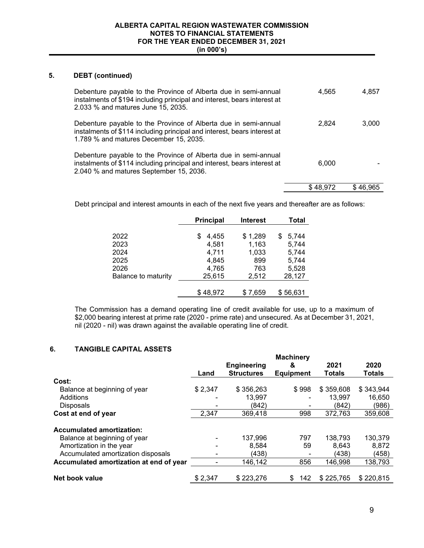## **5. DEBT (continued)**

| Debenture payable to the Province of Alberta due in semi-annual<br>instalments of \$194 including principal and interest, bears interest at<br>2.033 % and matures June 15, 2035.      | 4.565    | 4,857    |
|----------------------------------------------------------------------------------------------------------------------------------------------------------------------------------------|----------|----------|
| Debenture payable to the Province of Alberta due in semi-annual<br>instalments of \$114 including principal and interest, bears interest at<br>1.789 % and matures December 15, 2035.  | 2.824    | 3,000    |
| Debenture payable to the Province of Alberta due in semi-annual<br>instalments of \$114 including principal and interest, bears interest at<br>2.040 % and matures September 15, 2036. | 6.000    |          |
|                                                                                                                                                                                        | \$48,972 | \$46.965 |

Debt principal and interest amounts in each of the next five years and thereafter are as follows:

|                            | <b>Principal</b>    | <b>Interest</b>  | Total               |
|----------------------------|---------------------|------------------|---------------------|
| 2022<br>2023               | 4.455<br>S<br>4,581 | \$1,289<br>1,163 | 5,744<br>S<br>5,744 |
| 2024                       | 4,711               | 1,033            | 5,744               |
| 2025<br>2026               | 4,845<br>4,765      | 899<br>763       | 5,744<br>5,528      |
| <b>Balance to maturity</b> | 25,615              | 2,512            | 28,127              |
|                            | \$48,972            | \$7,659          | \$56,631            |

The Commission has a demand operating line of credit available for use, up to a maximum of \$2,000 bearing interest at prime rate (2020 - prime rate) and unsecured. As at December 31, 2021, nil (2020 - nil) was drawn against the available operating line of credit.

#### **6. TANGIBLE CAPITAL ASSETS**

|                                         |         |                    | <b>Machinery</b> |               |               |
|-----------------------------------------|---------|--------------------|------------------|---------------|---------------|
|                                         |         | <b>Engineering</b> | &                | 2021          | 2020          |
|                                         | Land    | <b>Structures</b>  | <b>Equipment</b> | <b>Totals</b> | <b>Totals</b> |
| Cost:                                   |         |                    |                  |               |               |
| Balance at beginning of year            | \$2,347 | \$356,263          | \$998            | \$359,608     | \$343,944     |
| Additions                               |         | 13,997             |                  | 13,997        | 16,650        |
| <b>Disposals</b>                        |         | (842)              |                  | (842)         | (986)         |
| Cost at end of year                     | 2,347   | 369,418            | 998              | 372,763       | 359,608       |
| <b>Accumulated amortization:</b>        |         |                    |                  |               |               |
| Balance at beginning of year            |         | 137,996            | 797              | 138,793       | 130,379       |
| Amortization in the year                |         | 8,584              | 59               | 8.643         | 8,872         |
| Accumulated amortization disposals      |         | (438)              |                  | (438)         | (458)         |
| Accumulated amortization at end of year |         | 146,142            | 856              | 146,998       | 138,793       |
| Net book value                          | \$2,347 | \$223,276          | \$<br>142        | \$225,765     | \$220,815     |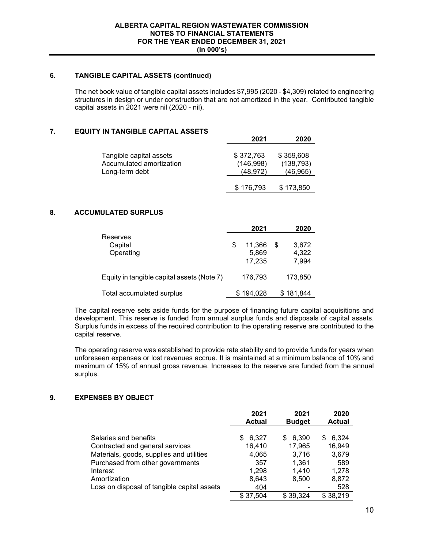## **6. TANGIBLE CAPITAL ASSETS (continued)**

The net book value of tangible capital assets includes \$7,995 (2020 - \$4,309) related to engineering structures in design or under construction that are not amortized in the year. Contributed tangible capital assets in 2021 were nil (2020 - nil).

## **7. EQUITY IN TANGIBLE CAPITAL ASSETS**

|                                                                       | 2021                               | 2020                                 |
|-----------------------------------------------------------------------|------------------------------------|--------------------------------------|
| Tangible capital assets<br>Accumulated amortization<br>Long-term debt | \$372,763<br>(146,998)<br>(48.972) | \$359,608<br>(138, 793)<br>(46, 965) |
|                                                                       | \$176,793                          | \$173,850                            |

# **8. ACCUMULATED SURPLUS**

|                                            | 2021         |   | 2020      |
|--------------------------------------------|--------------|---|-----------|
| Reserves<br>Capital                        | \$<br>11,366 | S | 3,672     |
| Operating                                  | 5,869        |   | 4,322     |
|                                            | 17,235       |   | 7,994     |
| Equity in tangible capital assets (Note 7) | 176,793      |   | 173,850   |
| Total accumulated surplus                  | \$194,028    |   | \$181,844 |

The capital reserve sets aside funds for the purpose of financing future capital acquisitions and development. This reserve is funded from annual surplus funds and disposals of capital assets. Surplus funds in excess of the required contribution to the operating reserve are contributed to the capital reserve.

The operating reserve was established to provide rate stability and to provide funds for years when unforeseen expenses or lost revenues accrue. It is maintained at a minimum balance of 10% and maximum of 15% of annual gross revenue. Increases to the reserve are funded from the annual surplus.

# **9. EXPENSES BY OBJECT**

|                                             | 2021          | 2021          | 2020          |
|---------------------------------------------|---------------|---------------|---------------|
|                                             | <b>Actual</b> | <b>Budget</b> | <b>Actual</b> |
|                                             |               |               |               |
| Salaries and benefits                       | 6,327<br>\$.  | 6,390<br>S    | 6,324<br>S    |
| Contracted and general services             | 16,410        | 17,965        | 16,949        |
| Materials, goods, supplies and utilities    | 4,065         | 3.716         | 3,679         |
| Purchased from other governments            | 357           | 1.361         | 589           |
| Interest                                    | 1,298         | 1.410         | 1,278         |
| Amortization                                | 8,643         | 8,500         | 8,872         |
| Loss on disposal of tangible capital assets | 404           |               | 528           |
|                                             | \$37,504      | \$39.324      | \$38,219      |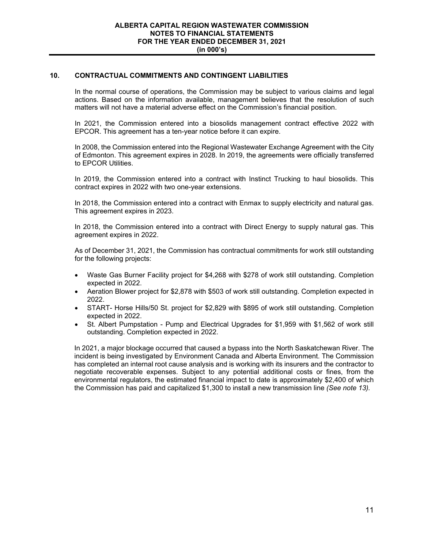#### **10. CONTRACTUAL COMMITMENTS AND CONTINGENT LIABILITIES**

In the normal course of operations, the Commission may be subject to various claims and legal actions. Based on the information available, management believes that the resolution of such matters will not have a material adverse effect on the Commission's financial position.

In 2021, the Commission entered into a biosolids management contract effective 2022 with EPCOR. This agreement has a ten-year notice before it can expire.

In 2008, the Commission entered into the Regional Wastewater Exchange Agreement with the City of Edmonton. This agreement expires in 2028. In 2019, the agreements were officially transferred to EPCOR Utilities.

In 2019, the Commission entered into a contract with Instinct Trucking to haul biosolids. This contract expires in 2022 with two one-year extensions.

In 2018, the Commission entered into a contract with Enmax to supply electricity and natural gas. This agreement expires in 2023.

In 2018, the Commission entered into a contract with Direct Energy to supply natural gas. This agreement expires in 2022.

As of December 31, 2021, the Commission has contractual commitments for work still outstanding for the following projects:

- Waste Gas Burner Facility project for \$4,268 with \$278 of work still outstanding. Completion expected in 2022.
- Aeration Blower project for \$2,878 with \$503 of work still outstanding. Completion expected in 2022.
- START- Horse Hills/50 St. project for \$2,829 with \$895 of work still outstanding. Completion expected in 2022.
- St. Albert Pumpstation Pump and Electrical Upgrades for \$1,959 with \$1,562 of work still outstanding. Completion expected in 2022.

In 2021, a major blockage occurred that caused a bypass into the North Saskatchewan River. The incident is being investigated by Environment Canada and Alberta Environment. The Commission has completed an internal root cause analysis and is working with its insurers and the contractor to negotiate recoverable expenses. Subject to any potential additional costs or fines, from the environmental regulators, the estimated financial impact to date is approximately \$2,400 of which the Commission has paid and capitalized \$1,300 to install a new transmission line *(See note 13).*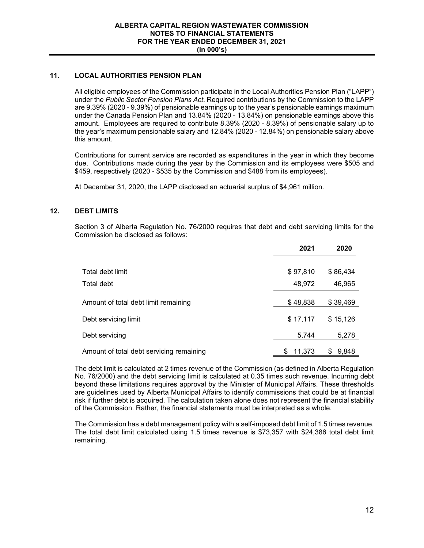#### **11. LOCAL AUTHORITIES PENSION PLAN**

All eligible employees of the Commission participate in the Local Authorities Pension Plan ("LAPP") under the *Public Sector Pension Plans Act*. Required contributions by the Commission to the LAPP are 9.39% (2020 - 9.39%) of pensionable earnings up to the year's pensionable earnings maximum under the Canada Pension Plan and 13.84% (2020 - 13.84%) on pensionable earnings above this amount. Employees are required to contribute 8.39% (2020 - 8.39%) of pensionable salary up to the year's maximum pensionable salary and 12.84% (2020 - 12.84%) on pensionable salary above this amount.

Contributions for current service are recorded as expenditures in the year in which they become due. Contributions made during the year by the Commission and its employees were \$505 and \$459, respectively (2020 - \$535 by the Commission and \$488 from its employees).

At December 31, 2020, the LAPP disclosed an actuarial surplus of \$4,961 million.

# **12. DEBT LIMITS**

Section 3 of Alberta Regulation No. 76/2000 requires that debt and debt servicing limits for the Commission be disclosed as follows:

|                                          | 2021     | 2020        |
|------------------------------------------|----------|-------------|
|                                          |          |             |
| Total debt limit                         | \$97,810 | \$86,434    |
| Total debt                               | 48,972   | 46,965      |
| Amount of total debt limit remaining     | \$48,838 | \$39,469    |
| Debt servicing limit                     | \$17,117 | \$15,126    |
| Debt servicing                           | 5,744    | 5,278       |
| Amount of total debt servicing remaining | 11,373   | 9,848<br>\$ |

The debt limit is calculated at 2 times revenue of the Commission (as defined in Alberta Regulation No. 76/2000) and the debt servicing limit is calculated at 0.35 times such revenue. Incurring debt beyond these limitations requires approval by the Minister of Municipal Affairs. These thresholds are guidelines used by Alberta Municipal Affairs to identify commissions that could be at financial risk if further debt is acquired. The calculation taken alone does not represent the financial stability of the Commission. Rather, the financial statements must be interpreted as a whole.

The Commission has a debt management policy with a self-imposed debt limit of 1.5 times revenue. The total debt limit calculated using 1.5 times revenue is \$73,357 with \$24,386 total debt limit remaining.